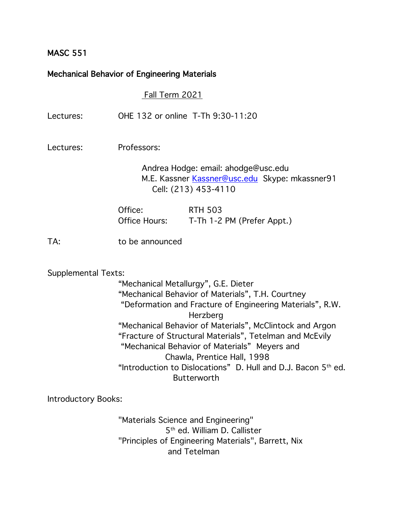## MASC 551

# Mechanical Behavior of Engineering Materials

Fall Term 2021

| Lectures:                  | OHE 132 or online T-Th 9:30-11:20                                                                                                                                                                                                                                                                                                                                                                                         |  |  |
|----------------------------|---------------------------------------------------------------------------------------------------------------------------------------------------------------------------------------------------------------------------------------------------------------------------------------------------------------------------------------------------------------------------------------------------------------------------|--|--|
| Lectures:                  | Professors:                                                                                                                                                                                                                                                                                                                                                                                                               |  |  |
|                            | Andrea Hodge: email: ahodge@usc.edu<br>M.E. Kassner Kassner@usc.edu Skype: mkassner91<br>Cell: (213) 453-4110                                                                                                                                                                                                                                                                                                             |  |  |
|                            | Office:<br><b>RTH 503</b><br>Office Hours:<br>T-Th 1-2 PM (Prefer Appt.)                                                                                                                                                                                                                                                                                                                                                  |  |  |
| TA:                        | to be announced                                                                                                                                                                                                                                                                                                                                                                                                           |  |  |
| <b>Supplemental Texts:</b> |                                                                                                                                                                                                                                                                                                                                                                                                                           |  |  |
|                            | "Mechanical Metallurgy", G.E. Dieter                                                                                                                                                                                                                                                                                                                                                                                      |  |  |
|                            | "Mechanical Behavior of Materials", T.H. Courtney<br>"Deformation and Fracture of Engineering Materials", R.W.<br>Herzberg<br>"Mechanical Behavior of Materials", McClintock and Argon<br>"Fracture of Structural Materials", Tetelman and McEvily<br>"Mechanical Behavior of Materials" Meyers and<br>Chawla, Prentice Hall, 1998<br>"Introduction to Dislocations" D. Hull and D.J. Bacon 5th ed.<br><b>Butterworth</b> |  |  |

Introductory Books:

"Materials Science and Engineering" 5<sup>th</sup> ed. William D. Callister "Principles of Engineering Materials", Barrett, Nix and Tetelman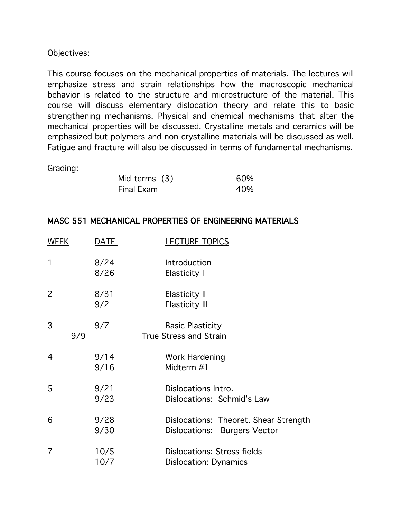#### Objectives:

This course focuses on the mechanical properties of materials. The lectures will emphasize stress and strain relationships how the macroscopic mechanical behavior is related to the structure and microstructure of the material. This course will discuss elementary dislocation theory and relate this to basic strengthening mechanisms. Physical and chemical mechanisms that alter the mechanical properties will be discussed. Crystalline metals and ceramics will be emphasized but polymers and non-crystalline materials will be discussed as well. Fatigue and fracture will also be discussed in terms of fundamental mechanisms.

#### Grading:

| Mid-terms (3) | 60% |
|---------------|-----|
| Final Exam    | 40% |

### MASC 551 MECHANICAL PROPERTIES OF ENGINEERING MATERIALS

| WEEK           | DATE         | <b>LECTURE TOPICS</b>                                                 |
|----------------|--------------|-----------------------------------------------------------------------|
| 1              | 8/24<br>8/26 | Introduction<br>Elasticity I                                          |
| $\overline{2}$ | 8/31<br>9/2  | <b>Elasticity II</b><br><b>Elasticity III</b>                         |
| 3<br>9/9       | 9/7          | <b>Basic Plasticity</b><br><b>True Stress and Strain</b>              |
| 4              | 9/14<br>9/16 | Work Hardening<br>Midterm #1                                          |
| 5              | 9/21<br>9/23 | Dislocations Intro.<br>Dislocations: Schmid's Law                     |
| 6              | 9/28<br>9/30 | Dislocations: Theoret. Shear Strength<br>Dislocations: Burgers Vector |
| 7              | 10/5<br>10/7 | Dislocations: Stress fields<br><b>Dislocation: Dynamics</b>           |
|                |              |                                                                       |